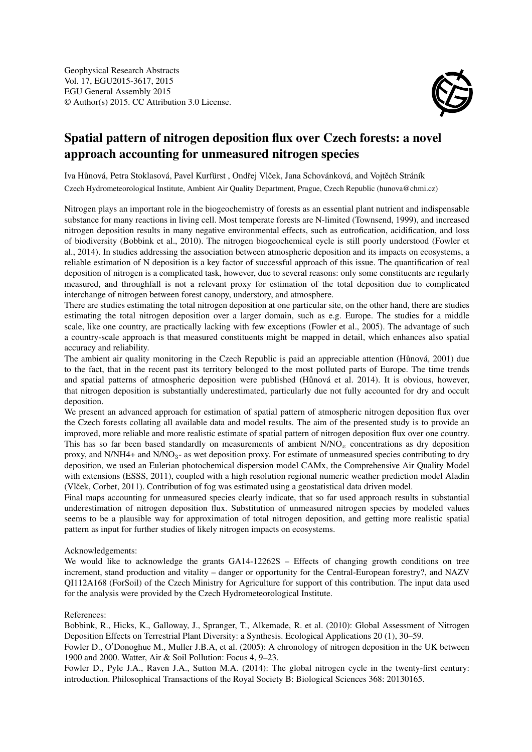

## Spatial pattern of nitrogen deposition flux over Czech forests: a novel approach accounting for unmeasured nitrogen species

Iva Hůnová, Petra Stoklasová, Pavel Kurfürst, Ondřej Vlček, Jana Schovánková, and Vojtěch Stráník Czech Hydrometeorological Institute, Ambient Air Quality Department, Prague, Czech Republic (hunova@chmi.cz)

Nitrogen plays an important role in the biogeochemistry of forests as an essential plant nutrient and indispensable substance for many reactions in living cell. Most temperate forests are N-limited (Townsend, 1999), and increased nitrogen deposition results in many negative environmental effects, such as eutrofication, acidification, and loss of biodiversity (Bobbink et al., 2010). The nitrogen biogeochemical cycle is still poorly understood (Fowler et al., 2014). In studies addressing the association between atmospheric deposition and its impacts on ecosystems, a reliable estimation of N deposition is a key factor of successful approach of this issue. The quantification of real deposition of nitrogen is a complicated task, however, due to several reasons: only some constituents are regularly measured, and throughfall is not a relevant proxy for estimation of the total deposition due to complicated interchange of nitrogen between forest canopy, understory, and atmosphere.

There are studies estimating the total nitrogen deposition at one particular site, on the other hand, there are studies estimating the total nitrogen deposition over a larger domain, such as e.g. Europe. The studies for a middle scale, like one country, are practically lacking with few exceptions (Fowler et al., 2005). The advantage of such a country-scale approach is that measured constituents might be mapped in detail, which enhances also spatial accuracy and reliability.

The ambient air quality monitoring in the Czech Republic is paid an appreciable attention (Hůnová, 2001) due to the fact, that in the recent past its territory belonged to the most polluted parts of Europe. The time trends and spatial patterns of atmospheric deposition were published (Hůnová et al. 2014). It is obvious, however, that nitrogen deposition is substantially underestimated, particularly due not fully accounted for dry and occult deposition.

We present an advanced approach for estimation of spatial pattern of atmospheric nitrogen deposition flux over the Czech forests collating all available data and model results. The aim of the presented study is to provide an improved, more reliable and more realistic estimate of spatial pattern of nitrogen deposition flux over one country. This has so far been based standardly on measurements of ambient  $N/NO<sub>x</sub>$  concentrations as dry deposition proxy, and N/NH4+ and N/NO<sub>3</sub>- as wet deposition proxy. For estimate of unmeasured species contributing to dry deposition, we used an Eulerian photochemical dispersion model CAMx, the Comprehensive Air Quality Model with extensions (ESSS, 2011), coupled with a high resolution regional numeric weather prediction model Aladin (Vlček, Corbet, 2011). Contribution of fog was estimated using a geostatistical data driven model.

Final maps accounting for unmeasured species clearly indicate, that so far used approach results in substantial underestimation of nitrogen deposition flux. Substitution of unmeasured nitrogen species by modeled values seems to be a plausible way for approximation of total nitrogen deposition, and getting more realistic spatial pattern as input for further studies of likely nitrogen impacts on ecosystems.

## Acknowledgements:

We would like to acknowledge the grants GA14-12262S – Effects of changing growth conditions on tree increment, stand production and vitality – danger or opportunity for the Central-European forestry?, and NAZV QI112A168 (ForSoil) of the Czech Ministry for Agriculture for support of this contribution. The input data used for the analysis were provided by the Czech Hydrometeorological Institute.

## References:

Bobbink, R., Hicks, K., Galloway, J., Spranger, T., Alkemade, R. et al. (2010): Global Assessment of Nitrogen Deposition Effects on Terrestrial Plant Diversity: a Synthesis. Ecological Applications 20 (1), 30–59.

Fowler D., O'Donoghue M., Muller J.B.A, et al. (2005): A chronology of nitrogen deposition in the UK between 1900 and 2000. Watter, Air & Soil Pollution: Focus 4, 9–23.

Fowler D., Pyle J.A., Raven J.A., Sutton M.A. (2014): The global nitrogen cycle in the twenty-first century: introduction. Philosophical Transactions of the Royal Society B: Biological Sciences 368: 20130165.